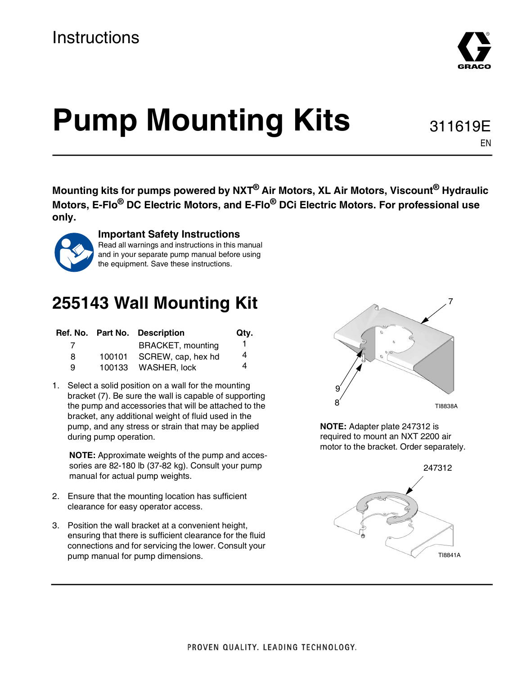## **Instructions**



**Mounting kits for pumps powered by NXT® Air Motors, XL Air Motors, Viscount® Hydraulic Motors, E-Flo® DC Electric Motors, and E-Flo® DCi Electric Motors. For professional use only.**



#### **Important Safety Instructions**

Read all warnings and instructions in this manual and in your separate pump manual before using the equipment. Save these instructions.

## <span id="page-0-0"></span>**255143 Wall Mounting Kit**

|   |        | Ref. No. Part No. Description | Qtv. |
|---|--------|-------------------------------|------|
|   |        | <b>BRACKET, mounting</b>      |      |
| 8 | 100101 | SCREW, cap, hex hd            | 4    |
| я |        | 100133 WASHER, lock           | 4    |

1. Select a solid position on a wall for the mounting bracket (7). Be sure the wall is capable of supporting the pump and accessories that will be attached to the bracket, any additional weight of fluid used in the pump, and any stress or strain that may be applied during pump operation.

**NOTE:** Approximate weights of the pump and accessories are 82-180 lb (37-82 kg). Consult your pump manual for actual pump weights.

- 2. Ensure that the mounting location has sufficient clearance for easy operator access.
- 3. Position the wall bracket at a convenient height, ensuring that there is sufficient clearance for the fluid connections and for servicing the lower. Consult your pump manual for pump dimensions.

TI8838A 8 9

**NOTE:** Adapter plate 247312 is required to mount an NXT 2200 air motor to the bracket. Order separately.





EN

7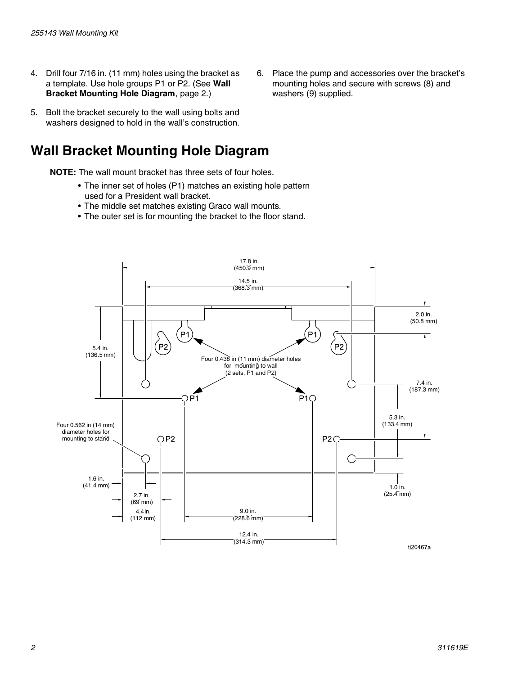- 4. Drill four 7/16 in. (11 mm) holes using the bracket as a template. Use hole groups P1 or P2. (See **[Wall](#page-1-0)  [Bracket Mounting Hole Diagram](#page-1-0)**, page [2.](#page-1-0))
- 5. Bolt the bracket securely to the wall using bolts and washers designed to hold in the wall's construction.

#### <span id="page-1-0"></span>**Wall Bracket Mounting Hole Diagram**

**NOTE:** The wall mount bracket has three sets of four holes.

- The inner set of holes (P1) matches an existing hole pattern used for a President wall bracket.
- The middle set matches existing Graco wall mounts.
- The outer set is for mounting the bracket to the floor stand.



6. Place the pump and accessories over the bracket's mounting holes and secure with screws (8) and washers (9) supplied.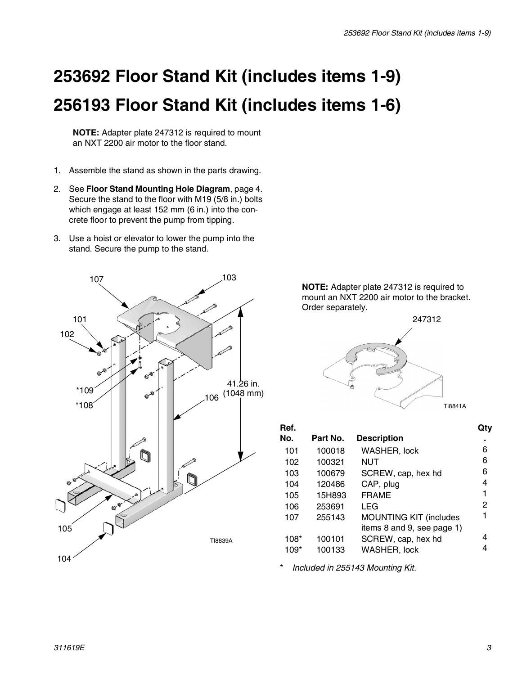# **253692 Floor Stand Kit (includes items 1-9) 256193 Floor Stand Kit (includes items 1-6)**

**NOTE:** Adapter plate 247312 is required to mount an NXT 2200 air motor to the floor stand.

- 1. Assemble the stand as shown in the parts drawing.
- 2. See **[Floor Stand Mounting Hole Diagram](#page-3-0)**, page [4](#page-3-0). Secure the stand to the floor with M19 (5/8 in.) bolts which engage at least 152 mm (6 in.) into the concrete floor to prevent the pump from tipping.
- 3. Use a hoist or elevator to lower the pump into the stand. Secure the pump to the stand.



**NOTE:** Adapter plate 247312 is required to mount an NXT 2200 air motor to the bracket. Order separately.



| Ref. |          |                               | Qtv |
|------|----------|-------------------------------|-----|
| No.  | Part No. | <b>Description</b>            | ٠   |
| 101  | 100018   | <b>WASHER, lock</b>           | 6   |
| 102  | 100321   | <b>NUT</b>                    | 6   |
| 103  | 100679   | SCREW, cap, hex hd            | 6   |
| 104  | 120486   | CAP, plug                     | 4   |
| 105  | 15H893   | <b>FRAME</b>                  | 1   |
| 106  | 253691   | LEG                           | 2   |
| 107  | 255143   | <b>MOUNTING KIT (includes</b> | 1   |
|      |          | items 8 and 9, see page 1)    |     |
| 108* | 100101   | SCREW, cap, hex hd            | 4   |
| 109* | 100133   | WASHER, lock                  |     |
|      |          |                               |     |

\* *Included in 255143 Mounting Kit.*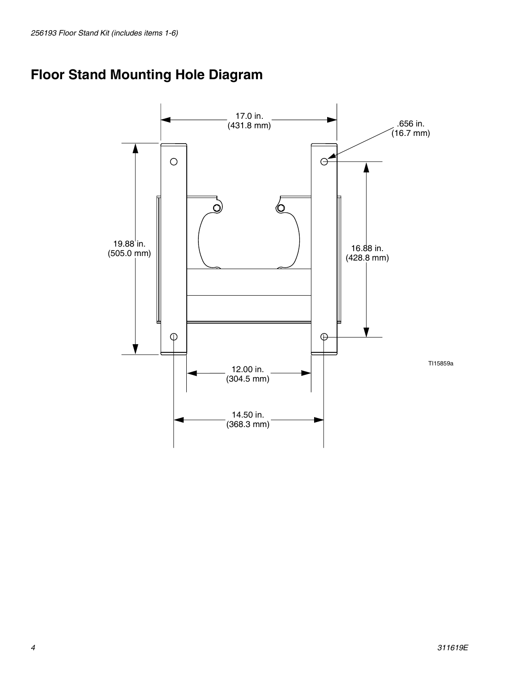### <span id="page-3-0"></span>**Floor Stand Mounting Hole Diagram**

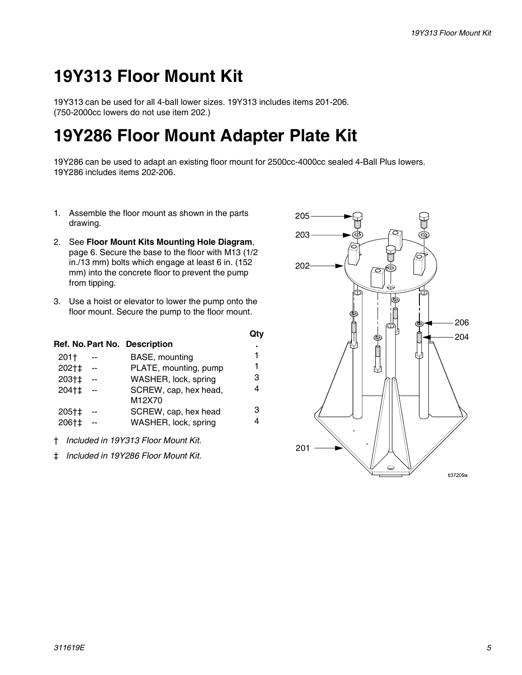## **19Y313 Floor Mount Kit**

19Y313 can be used for all 4-ball lower sizes. 19Y313 includes items 201-206. (750-2000cc lowers do not use item 202.)

## **19Y286 Floor Mount Adapter Plate Kit**

19Y286 can be used to adapt an existing floor mount for 2500cc-4000cc sealed 4-Ball Plus lowers. 19Y286 includes items 202-206.

- 1. Assemble the floor mount as shown in the parts drawing.
- 2. See **[Floor Mount Kits Mounting Hole Diagram](#page-5-0)**, page [6.](#page-5-0) Secure the base to the floor with M13 (1/2 in./13 mm) bolts which engage at least 6 in. (152 mm) into the concrete floor to prevent the pump from tipping.
- 3. Use a hoist or elevator to lower the pump onto the floor mount. Secure the pump to the floor mount.

|       |     |                               | Qtv |
|-------|-----|-------------------------------|-----|
|       |     | Ref. No. Part No. Description | ٠   |
| 201†  |     | BASE, mounting                | 1   |
| 202†‡ |     | PLATE, mounting, pump         | 1   |
| 203†‡ | $=$ | WASHER, lock, spring          | 3   |
| 204†‡ | $-$ | SCREW, cap, hex head,         | 4   |
|       |     | M12X70                        |     |
| 205†‡ |     | SCREW, cap, hex head          | з   |
| 206†‡ |     | WASHER, lock, spring          |     |
|       |     |                               |     |

- † *Included in 19Y313 Floor Mount Kit.*
- ‡ *Included in 19Y286 Floor Mount Kit.*

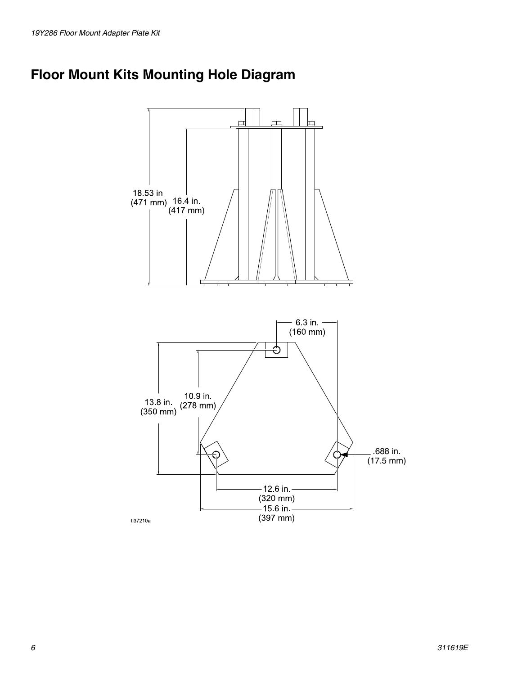### <span id="page-5-0"></span>**Floor Mount Kits Mounting Hole Diagram**

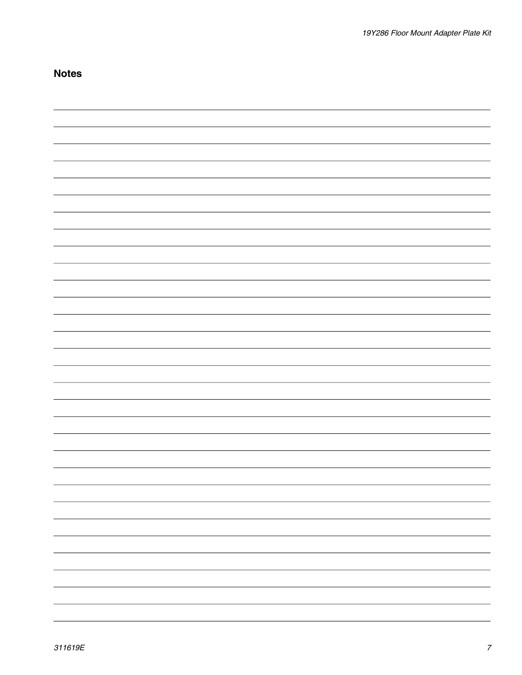| <b>Notes</b> |  |
|--------------|--|
|              |  |
|              |  |
|              |  |
|              |  |
|              |  |
|              |  |
|              |  |
|              |  |
|              |  |
|              |  |
|              |  |
|              |  |
|              |  |
|              |  |
|              |  |
|              |  |
|              |  |
|              |  |
|              |  |
|              |  |
|              |  |
|              |  |
|              |  |
|              |  |
|              |  |
|              |  |
|              |  |
|              |  |